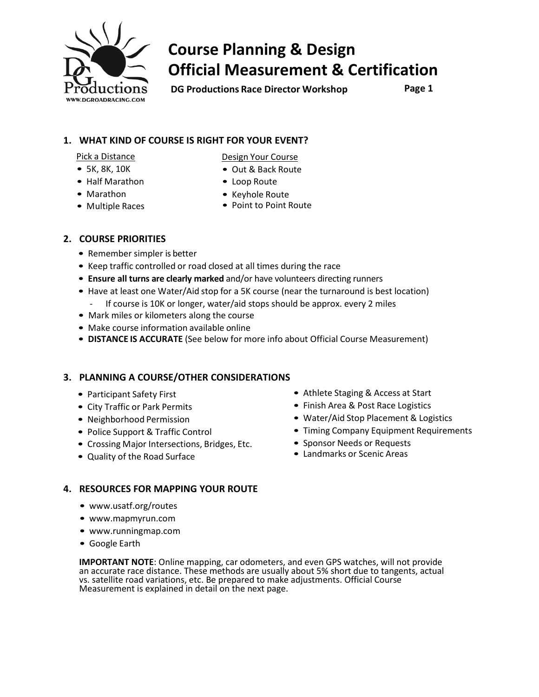

# **Course Planning & Design Official Measurement & Certification**

**DG Productions Race Director Workshop Page 1**

#### **1. WHAT KIND OF COURSE IS RIGHT FOR YOUR EVENT?**

Pick a Distance

- 5K, 8K, 10K
- Half Marathon
- Marathon
- Multiple Races
- Design Your Course
- Out & Back Route
- Loop Route
- Keyhole Route
- Point to Point Route

### **2. COURSE PRIORITIES**

- Remember simpler is better
- Keep traffic controlled or road closed at all times during the race
- **Ensure all turns are clearly marked** and/or have volunteers directing runners
- Have at least one Water/Aid stop for a 5K course (near the turnaround is best location) - If course is 10K or longer, water/aid stops should be approx. every 2 miles
- Mark miles or kilometers along the course
- Make course information available online
- **DISTANCE IS ACCURATE** (See below for more info about Official Course Measurement)

### **3. PLANNING A COURSE/OTHER CONSIDERATIONS**

- Participant Safety First
- City Traffic or Park Permits
- Neighborhood Permission
- Police Support & Traffic Control
- Crossing Major Intersections, Bridges, Etc.
- Quality of the Road Surface
- Athlete Staging & Access at Start
- Finish Area & Post Race Logistics
- Water/Aid Stop Placement & Logistics
- Timing Company Equipment Requirements
- Sponsor Needs or Requests
- Landmarks or Scenic Areas

#### **4. RESOURCES FOR MAPPING YOUR ROUTE**

- [www.usatf.org/routes](http://www.usatf.org/routes)
- [www.mapmyrun.com](http://www.mapmyrun.com/)
- [www.runningmap.com](http://www.runningmap.com/)
- Google Earth

**IMPORTANT NOTE**: Online mapping, car odometers, and even GPS watches, will not provide an accurate race distance. These methods are usually about 5% short due to tangents, actual vs. satellite road variations, etc. Be prepared to make adjustments. Official Course Measurement is explained in detail on the next page.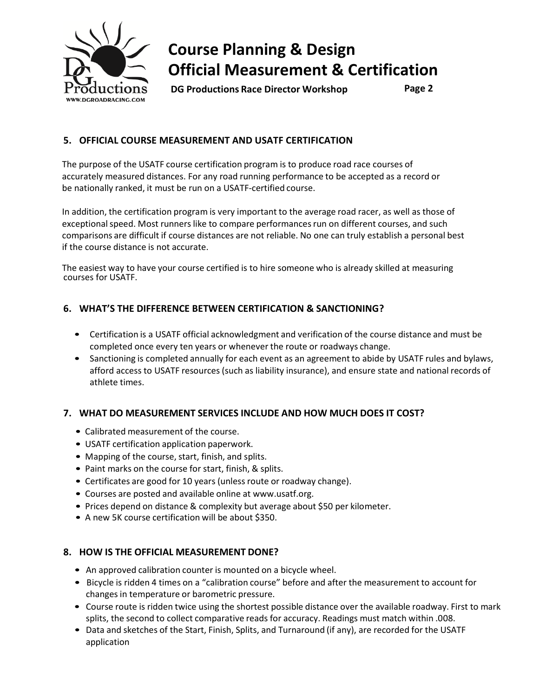

## **Course Planning & Design Official Measurement & Certification**

**DG Productions Race Director Workshop Page 2**

## **5. OFFICIAL COURSE MEASUREMENT AND USATF CERTIFICATION**

The purpose of the USATF course certification program is to produce road race courses of accurately measured distances. For any road running performance to be accepted as a record or be nationally ranked, it must be run on a USATF-certified course.

In addition, the certification program is very important to the average road racer, as well as those of exceptional speed. Most runners like to compare performances run on different courses, and such comparisons are difficult if course distances are not reliable. No one can truly establish a personal best if the course distance is not accurate.

The easiest way to have your course certified is to hire someone who is already skilled at measuring courses for USATF.

### **6. WHAT'S THE DIFFERENCE BETWEEN CERTIFICATION & SANCTIONING?**

- Certification is a USATF official acknowledgment and verification of the course distance and must be completed once every ten years or whenever the route or roadways change.
- Sanctioning is completed annually for each event as an agreement to abide by USATF rules and bylaws, afford access to USATF resources (such as liability insurance), and ensure state and national records of athlete times.

### **7. WHAT DO MEASUREMENT SERVICES INCLUDE AND HOW MUCH DOES IT COST?**

- Calibrated measurement of the course.
- USATF certification application paperwork.
- Mapping of the course, start, finish, and splits.
- Paint marks on the course for start, finish, & splits.
- Certificates are good for 10 years (unless route or roadway change).
- Courses are posted and available online at [www.usatf.org.](http://www.usatf.org/)
- Prices depend on distance & complexity but average about \$50 per kilometer.
- A new 5K course certification will be about \$350.

#### **8. HOW IS THE OFFICIAL MEASUREMENT DONE?**

- An approved calibration counter is mounted on a bicycle wheel.
- Bicycle is ridden 4 times on a "calibration course" before and after the measurement to account for changes in temperature or barometric pressure.
- Course route is ridden twice using the shortest possible distance over the available roadway. First to mark splits, the second to collect comparative reads for accuracy. Readings must match within .008.
- Data and sketches of the Start, Finish, Splits, and Turnaround (if any), are recorded for the USATF application